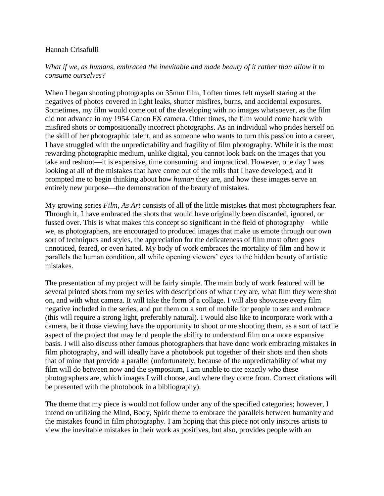## Hannah Crisafulli

## *What if we, as humans, embraced the inevitable and made beauty of it rather than allow it to consume ourselves?*

When I began shooting photographs on 35mm film, I often times felt myself staring at the negatives of photos covered in light leaks, shutter misfires, burns, and accidental exposures. Sometimes, my film would come out of the developing with no images whatsoever, as the film did not advance in my 1954 Canon FX camera. Other times, the film would come back with misfired shots or compositionally incorrect photographs. As an individual who prides herself on the skill of her photographic talent, and as someone who wants to turn this passion into a career, I have struggled with the unpredictability and fragility of film photography. While it is the most rewarding photographic medium, unlike digital, you cannot look back on the images that you take and reshoot—it is expensive, time consuming, and impractical. However, one day I was looking at all of the mistakes that have come out of the rolls that I have developed, and it prompted me to begin thinking about how *human* they are, and how these images serve an entirely new purpose—the demonstration of the beauty of mistakes.

My growing series *Film, As Art* consists of all of the little mistakes that most photographers fear. Through it, I have embraced the shots that would have originally been discarded, ignored, or fussed over. This is what makes this concept so significant in the field of photography—while we, as photographers, are encouraged to produced images that make us emote through our own sort of techniques and styles, the appreciation for the delicateness of film most often goes unnoticed, feared, or even hated. My body of work embraces the mortality of film and how it parallels the human condition, all while opening viewers' eyes to the hidden beauty of artistic mistakes.

The presentation of my project will be fairly simple. The main body of work featured will be several printed shots from my series with descriptions of what they are, what film they were shot on, and with what camera. It will take the form of a collage. I will also showcase every film negative included in the series, and put them on a sort of mobile for people to see and embrace (this will require a strong light, preferably natural). I would also like to incorporate work with a camera, be it those viewing have the opportunity to shoot or me shooting them, as a sort of tactile aspect of the project that may lend people the ability to understand film on a more expansive basis. I will also discuss other famous photographers that have done work embracing mistakes in film photography, and will ideally have a photobook put together of their shots and then shots that of mine that provide a parallel (unfortunately, because of the unpredictability of what my film will do between now and the symposium, I am unable to cite exactly who these photographers are, which images I will choose, and where they come from. Correct citations will be presented with the photobook in a bibliography).

The theme that my piece is would not follow under any of the specified categories; however, I intend on utilizing the Mind, Body, Spirit theme to embrace the parallels between humanity and the mistakes found in film photography. I am hoping that this piece not only inspires artists to view the inevitable mistakes in their work as positives, but also, provides people with an